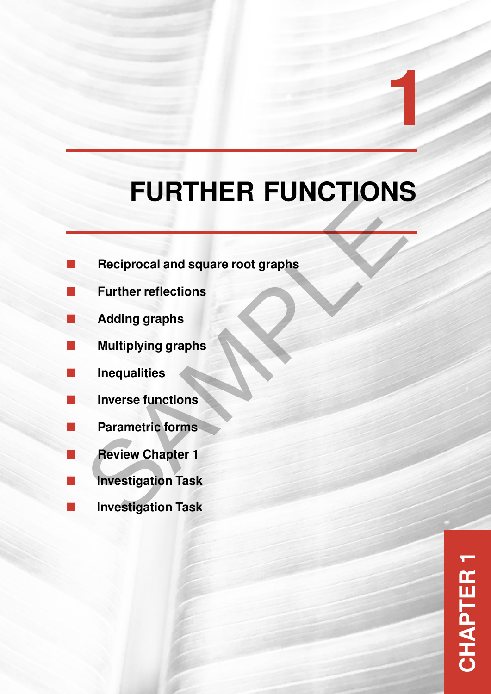# **FURTHER FUNCTIONS** Reciprocal and square root graphs<br>Further reflections<br>Adding graphs<br>Multiplying graphs<br>Inequalities<br>Inverse functions<br>Parametric forms<br>Review Chapter 1<br>Investigation Task<br>Investigation Task

**1**

- **Reciprocal and square root graphs**
- **Further reflections**
- **Adding graphs**
- **Multiplying graphs**
- **Inequalities**
- **Inverse functions**
- **Parametric forms**
- **Review Chapter 1**
- **Investigation Task**
- **Investigation Task**

**CHAPTER 1**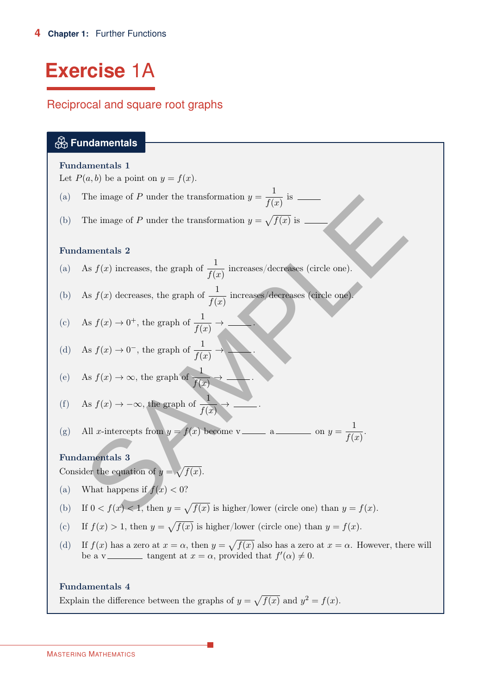# <span id="page-1-0"></span>**Exercise** 1A

# Reciprocal and square root graphs

# **Fundamentals**

# Fundamentals 1

Let  $P(a, b)$  be a point on  $y = f(x)$ .

- The image of P under the transformation  $y = \frac{1}{\epsilon}$ (a) The image of P under the transformation  $y = \frac{1}{f(x)}$  is
- (b) The image of P under the transformation  $y = \sqrt{f(x)}$  is

# Fundamentals 2

- (a) As  $f(x)$  increases, the graph of  $\frac{1}{f(x)}$  increases/decreases (circle one).
- (b) As  $f(x)$  decreases, the graph of  $\frac{1}{f(x)}$  increases/decreases (circle one).
- (c) As  $f(x) \to 0^+$ , the graph of  $\frac{1}{f(x)} \to \infty$ .
- (d) As  $f(x) \to 0^-$ , the graph of  $\frac{1}{f(x)} \to \bullet$ .
- (e) As  $f(x) \to \infty$ , the graph of  $\frac{1}{f(x)} \to \infty$ .

(f) As 
$$
f(x) \to -\infty
$$
, the graph of  $\frac{1}{f(x)} \to \underline{\hspace{1cm}}$ .

\n- (a) The image of *P* under the transformation 
$$
y = \frac{f(x)}{f(x)}
$$
 is  $f(x)$ .
\n- (b) The image of *P* under the transformation  $y = \sqrt{f(x)}$  is **Fundamentals 2**
\n- (a) As  $f(x)$  increases, the graph of  $\frac{1}{f(x)}$  increases/decreases (circle one).
\n- (b) As  $f(x)$  decreases, the graph of  $\frac{1}{f(x)}$  increases/decreases (circle one).
\n- (c) As  $f(x) \to 0^+$ , the graph of  $\frac{1}{f(x)}$ .
\n- (d) As  $f(x) \to 0^-$ , the graph of  $\frac{1}{f(x)}$ .
\n- (e) As  $f(x) \to \infty$ , the graph of  $\frac{1}{f(x)}$ .
\n- (f) As  $f(x) \to -\infty$ , the graph of  $\frac{1}{f(x)}$ .
\n- (g) All *x*-intercepts from  $y = f(x)$  become  $v$  and  $a$  and  $y = \frac{1}{f(x)}$ .
\n- **Fundamentals 3** Consider the equation of  $y = \sqrt{f(x)}$ .
\n- (a) What happens if  $f(x) < 0$ ?
\n- (b) If  $0 < f(x) < 1$ , then  $y = \sqrt{f(x)}$  is higher/lower (circle one) than  $y = f(x)$ .
\n

# Fundamentals 3

Consider the equation of  $y = \sqrt{f(x)}$ .

- (a) What happens if  $f(x) < 0$ ?
- (b) If  $0 < f(x) < 1$ , then  $y = \sqrt{f(x)}$  is higher/lower (circle one) than  $y = f(x)$ .
- (c) If  $f(x) > 1$ , then  $y = \sqrt{f(x)}$  is higher/lower (circle one) than  $y = f(x)$ .
- (d) If  $f(x)$  has a zero at  $x = \alpha$ , then  $y = \sqrt{f(x)}$  also has a zero at  $x = \alpha$ . However, there will be a v \_\_\_\_\_\_\_\_ tangent at  $x = \alpha$ , provided that  $f'(\alpha) \neq 0$ .

# Fundamentals 4

Explain the difference between the graphs of  $y = \sqrt{f(x)}$  and  $y^2 = f(x)$ .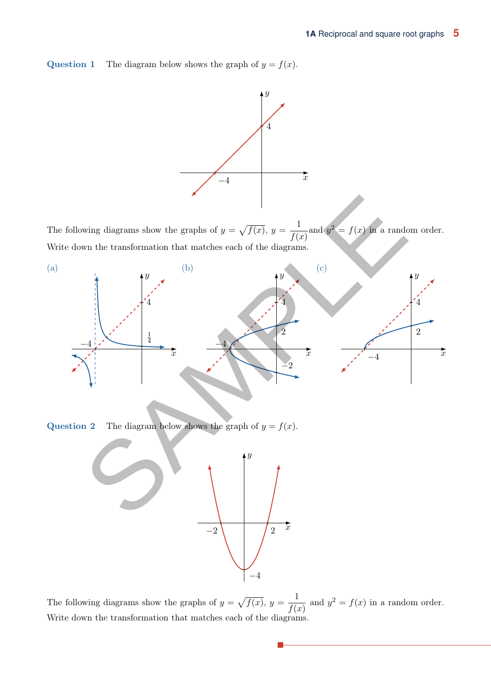**Question 1** The diagram below shows the graph of  $y = f(x)$ .



The following diagrams show the graphs of  $y = \sqrt{f(x)}$ ,  $y = \frac{1}{f(x)}$  $\frac{1}{f(x)}$  and  $y^2 = f(x)$  in a random order. Write down the transformation that matches each of the diagrams.



**Question 2** The diagram below shows the graph of  $y = f(x)$ .



The following diagrams show the graphs of  $y = \sqrt{f(x)}$ ,  $y = \frac{1}{f(x)}$  $\frac{1}{f(x)}$  and  $y^2 = f(x)$  in a random order. Write down the transformation that matches each of the diagrams.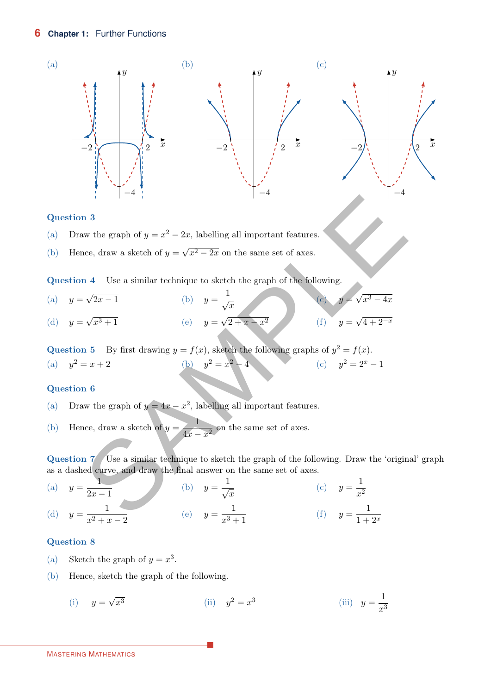

#### Question 3

- (a) Draw the graph of  $y = x^2 2x$ , labelling all important features.
- Hence, draw a sketch of  $y =$ √ (b) Hence, draw a sketch of  $y = \sqrt{x^2 - 2x}$  on the same set of axes.

Question 4 Use a similar technique to sketch the graph of the following.

 $y =$ √ (a)  $y = \sqrt{2x - 1}$  (b)  $y =$ (b)  $y = \frac{1}{\sqrt{x}}$  (c)  $y =$ √ (c)  $y = \sqrt{x^3 - 4x}$  $y =$ √ (d)  $y = \sqrt{x^3 + 1}$  (e)  $y =$ √ (e)  $y = \sqrt{2 + x - x^2}$  (f)  $y =$ √ (f)  $y = \sqrt{4 + 2^{-x}}$ on 3<br>
and 3<br>
and 4 Use a similar technique to sketch the graph of the following.<br>
In 4 Use a similar technique to sketch the graph of the following.<br>  $\sqrt{x^3 - 4x}$ <br>  $\sqrt{x^3 + 1}$ <br>
(c)  $y = \sqrt{2 + x - x^2}$ <br>
(f)  $y = \sqrt{x^3 - 4x}$ <br>
(g)

Question 5 By first drawing  $y = f(x)$ , sketch the following graphs of  $y^2 = f(x)$ . (a)  $y^2 = x + 2$ (b)  $y^2 = x^2 - 4$ (c)  $y^2 = 2^x - 1$ 

## Question 6

- (a) Draw the graph of  $y = 4x x^2$ , labelling all important features.
- Hence, draw a sketch of  $y = \frac{1}{1 + y}$ (b) Hence, draw a sketch of  $y = \frac{1}{4x - x^2}$  on the same set of axes.

Question 7 Use a similar technique to sketch the graph of the following. Draw the 'original' graph as a dashed curve, and draw the final answer on the same set of axes.

 $y=\frac{1}{2}$ (a)  $y = \frac{1}{2x - 1}$  (b)  $y =$ (b)  $y = \frac{1}{\sqrt{x}}$  (c)  $y =$ 1 (c)  $y = \frac{1}{x^2}$  $y = \frac{1}{2}$ (d)  $y = \frac{1}{x^2 + x - 2}$  (e)  $y =$ 1 (e)  $y = \frac{1}{x^3 + 1}$  (f)  $y =$ 1 (f)  $y = \frac{1}{1 + 2^x}$ 

#### Question 8

- (a) Sketch the graph of  $y = x^3$ .
- (b) Hence, sketch the graph of the following.

(i) 
$$
y = \sqrt{x^3}
$$
 (ii)  $y^2 = x^3$  (iii)  $y = \frac{1}{x^3}$ 

#### MASTERING MATHEMATICS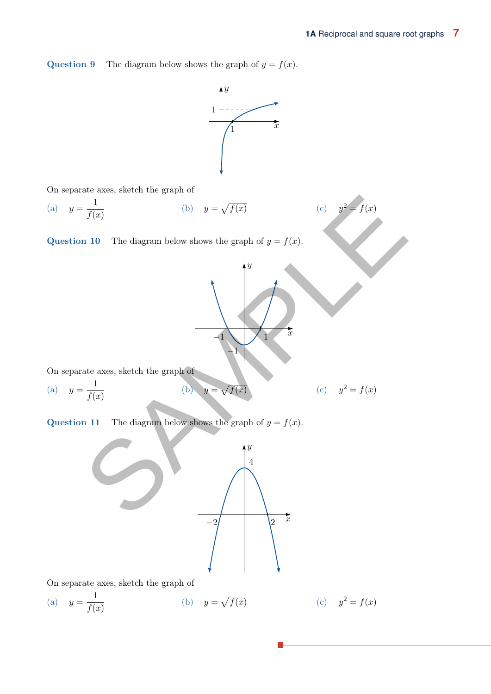**Question 9** The diagram below shows the graph of  $y = f(x)$ .



**Question 11** The diagram below shows the graph of  $y = f(x)$ .



On separate axes, sketch the graph of

(a) 
$$
y = \frac{1}{f(x)}
$$
 (b)  $y = \sqrt{f(x)}$  (c)  $y^2 = f(x)$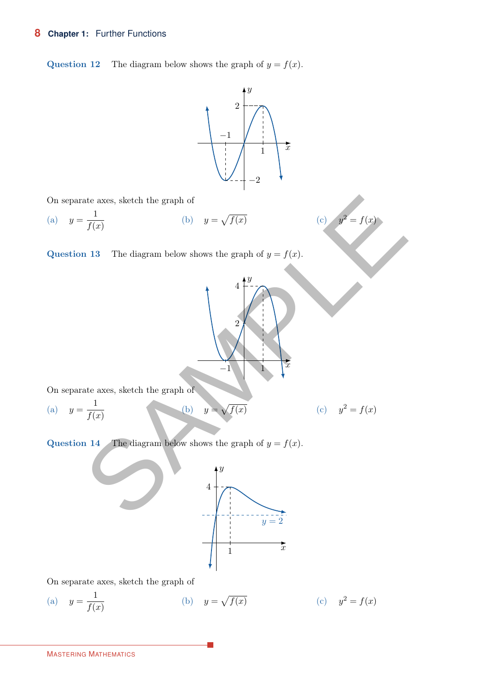# **8 Chapter 1:** Further Functions

**Question 12** The diagram below shows the graph of  $y = f(x)$ .



 $\hat{y}$ 

 $-1$  | 1

2

4

(c)  $y^2 = f(x)$ 

On separate axes, sketch the graph of

(a) 
$$
y = \frac{1}{f(x)}
$$
 (b)  $y = \sqrt{f(x)}$ 

**Question 13** The diagram below shows the graph of  $y = f(x)$ .

On separate axes, sketch the graph of

(a) 
$$
y = \frac{1}{f(x)}
$$
 (b)  $y = \sqrt{f(x)}$  (c)  $y^2 = f(x)$ 

**Question 14** The diagram below shows the graph of  $y = f(x)$ .



 $\overline{x}$ 

On separate axes, sketch the graph of

(a) 
$$
y = \frac{1}{f(x)}
$$
 (b)  $y = \sqrt{f(x)}$  (c)  $y^2 = f(x)$ 

MASTERING MATHEMATICS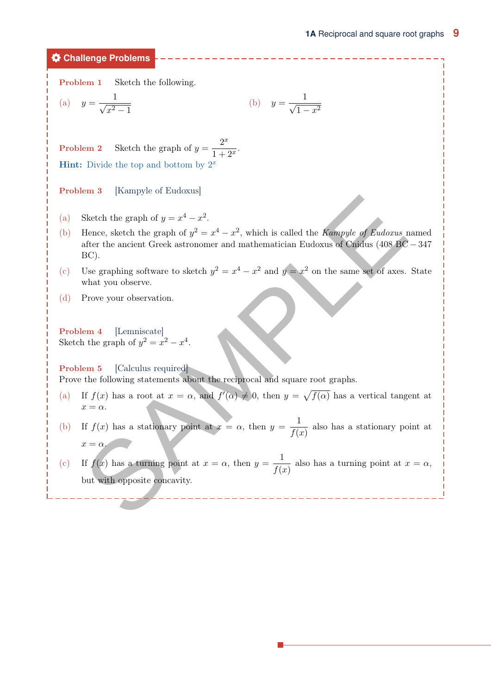**Challenge Problems**

Problem 1 Sketch the following.

(a) 
$$
y = \frac{1}{\sqrt{x^2 - 1}}
$$
 (b)  $y = \frac{1}{\sqrt{1 - x^2}}$ 

**Problem 2** Sketch the graph of  $y = \frac{2^x}{1+x^2}$  $\frac{1}{1+2^x}$ **Hint:** Divide the top and bottom by  $2^x$ 

Problem 3 [Kampyle of Eudoxus]

- (a) Sketch the graph of  $y = x^4 x^2$ .
- Hence, sketch the graph of  $y^2 = x^4 x^2$ , which is called the *Kampyle of Eudoxus* named after the ancient Greek astronomer and mathematician Eudoxus of Cnidus (408 BC − 347 BC). (b) (a) Sketch the graph of  $y = x^4 - x^2$ .<br>
(b) Hence, sketch the graph of  $y^2 = x^4 - x^2$ , which is called the *Kampule of Eudorus* after the ancient Greek astronomer and mathematician Eudoxus of Gnellus (408 BC).<br>
(c) Use graph
- Use graphing software to sketch  $y^2 = x^4 x^2$  and  $y = x^2$  on the same set of axes. State what you observe.  $(c)$
- (d) Prove your observation.

Problem 4 [Lemniscate] Sketch the graph of  $y^2 = x^2 - x^4$ .

Problem 5 [Calculus required] Prove the following statements about the reciprocal and square root graphs.

- If  $f(x)$  has a root at  $x = \alpha$ , and  $f'(\alpha) \neq 0$ , then  $y = \sqrt{f(\alpha)}$  has a vertical tangent at  $x = \alpha$ . (a)
- If  $f(x)$  has a stationary point at  $x = \alpha$ , then  $y = \frac{1}{\alpha}$  $\frac{1}{f(x)}$  also has a stationary point at  $x = \alpha$ . (b)
- If  $f(x)$  has a turning point at  $x = \alpha$ , then  $y = \frac{1}{\alpha}$  $\frac{1}{f(x)}$  also has a turning point at  $x = \alpha$ , but with opposite concavity.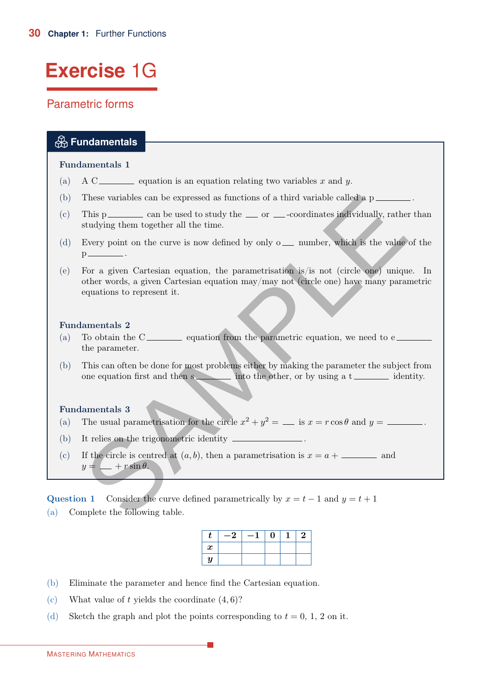# <span id="page-7-0"></span>**Exercise** 1G

# Parametric forms

# **Fundamentals**

## Fundamentals 1

- (a) A C equation is an equation relating two variables x and y.
- (b) These variables can be expressed as functions of a third variable called a  $p\_\_$
- This p  $\frac{1}{\sqrt{1-\frac{1}{\sqrt{1-\frac{1}{\sqrt{1-\frac{1}{\sqrt{1-\frac{1}{\sqrt{1-\frac{1}{\sqrt{1-\frac{1}{\sqrt{1-\frac{1}{\sqrt{1-\frac{1}{\sqrt{1-\frac{1}{\sqrt{1-\frac{1}{\sqrt{1-\frac{1}{\sqrt{1-\frac{1}{\sqrt{1-\frac{1}{\sqrt{1-\frac{1}{\sqrt{1-\frac{1}{\sqrt{1-\frac{1}{\sqrt{1-\frac{1}{\sqrt{1-\frac{1}{\sqrt{1-\frac{1}{\sqrt{1-\frac{1}{\sqrt{1-\frac{1}{\sqrt{1-\frac{1}{\sqrt{1-\frac{1}{\$ studying them together all the time.  $(c)$
- Every point on the curve is now defined by only  $\circ \_\_\_\$  number, which is the value of the  $p$   $\underline{\hspace{1cm}}$ . (d)
- For a given Cartesian equation, the parametrisation is/is not (circle one) unique. In other words, a given Cartesian equation may/may not (circle one) have many parametric equations to represent it. (e) SAMPLE

## Fundamentals 2

- To obtain the  $C_{\text{1}}$  equation from the parametric equation, we need to e the parameter. (a)
- This can often be done for most problems either by making the parameter the subject from one equation first and then  $s \longrightarrow$  into the other, or by using a t (b)

## Fundamentals 3

- (a) The usual parametrisation for the circle  $x^2 + y^2 =$  is  $x = r \cos \theta$  and  $y =$  \_\_\_\_\_\_\_.
- (b) It relies on the trigonometric identity \_\_\_\_\_\_\_
- If the circle is centred at  $(a, b)$ , then a parametrisation is  $x = a + \underline{\hspace{2cm}}$  and  $y = \underline{\hspace{1cm}} + r \sin \theta.$  $(c)$

Question 1 Consider the curve defined parametrically by  $x = t - 1$  and  $y = t + 1$ 

(a) Complete the following table.

| τ                | $-\angle$ | — 1 | U |  |
|------------------|-----------|-----|---|--|
| $\boldsymbol{x}$ |           |     |   |  |
| $\boldsymbol{y}$ |           |     |   |  |

- (b) Eliminate the parameter and hence find the Cartesian equation.
- (c) What value of t yields the coordinate  $(4, 6)$ ?
- (d) Sketch the graph and plot the points corresponding to  $t = 0, 1, 2$  on it.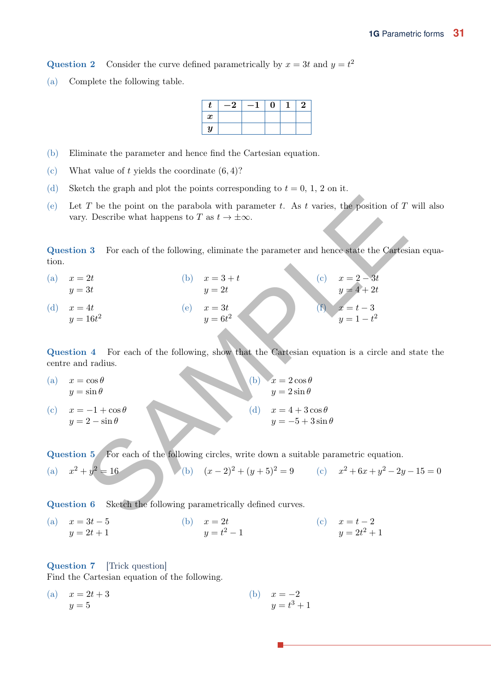<span id="page-8-0"></span>Question 2 Consider the curve defined parametrically by  $x = 3t$  and  $y = t^2$ 

Complete the following table. (a)

| t                | $-\frac{1}{4}$ | — " | $\bf{0}$ | 2 |
|------------------|----------------|-----|----------|---|
| $\boldsymbol{x}$ |                |     |          |   |
| $\boldsymbol{y}$ |                |     |          |   |

- (b) Eliminate the parameter and hence find the Cartesian equation.
- (c) What value of t yields the coordinate  $(6, 4)$ ?
- (d) Sketch the graph and plot the points corresponding to  $t = 0, 1, 2$  on it.
- Let T be the point on the parabola with parameter t. As t varies, the position of T will also vary. Describe what happens to T as  $t \to \pm \infty$ . (e)

Question 3 For each of the following, eliminate the parameter and hence state the Cartesian equation.

(a)  $x = 2t$  $y=3t$ (b)  $x = 3 + t$  $y=2t$ (b)  $x = 3 + t$  (c)  $x = 2 - 3t$  $y = 4 + 2t$ (d)  $x = 4t$  $y = 16t^2$ (d)  $x = 4t$  (e)  $x = 3t$  $y=6t^2$ (e)  $x = 3t$  (f)  $x = t - 3$  $y = 1 - t^2$ (f) t T be the point on the parabola with parameter t. As t varies, the position of T<br>
y. Describe what happens to T as  $t \to +\infty$ .<br>
13 For each of the following, eliminate the parameter and hence state the Cartes<br>  $y = 2t$ <br>  $y$ 

Question 4 For each of the following, show that the Cartesian equation is a circle and state the centre and radius.

(a)  $x = \cos \theta$  (b)  $x = 2 \cos \theta$  $y = \sin \theta$  $y = 2 \sin \theta$ (b) (c)  $x = -1 + \cos \theta$  (d)  $x = 4 + 3 \cos \theta$  $y = 2 - \sin \theta$  $y = -5 + 3 \sin \theta$ (d)  $x = 4 + 3\cos\theta$ 

Question 5 For each of the following circles, write down a suitable parametric equation.

(a) 
$$
x^2 + y^2 = 16
$$
 (b)  $(x-2)^2 + (y+5)^2 = 9$  (c)  $x^2 + 6x + y^2 - 2y - 15 = 0$ 

Question 6 Sketch the following parametrically defined curves.

(a)  $x = 3t - 5$  (b)  $x = 2t$  $y = 2t + 1$  $y = t^2 - 1$ (b)  $x = 2t$  (c)  $x = t - 2$  $y = 2t^2 + 1$ (c)

#### Question 7 [Trick question]

Find the Cartesian equation of the following.

(a)  $x = 2t + 3$  (b)  $x = -2$  $y=5$  $y = t^3 + 1$ (b)  $x = -2$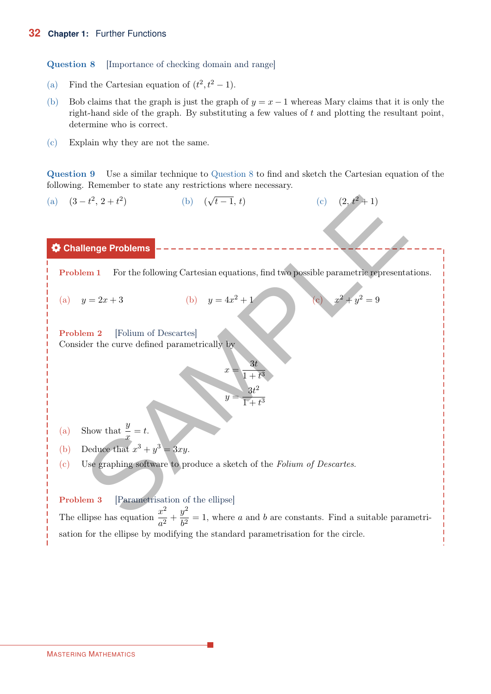Question 8 [Importance of checking domain and range]

- (a) Find the Cartesian equation of  $(t^2, t^2 1)$ .
- Bob claims that the graph is just the graph of  $y = x 1$  whereas Mary claims that it is only the right-hand side of the graph. By substituting a few values of  $t$  and plotting the resultant point, determine who is correct. (b)
- (c) Explain why they are not the same.

Question 9 Use a similar technique to Question 8 to find and sketch the Cartesian equation of the following. Remember to state any restrictions where necessary.



The ellipse has equation  $\frac{x^2}{2}$  $rac{x^2}{a^2} + \frac{y^2}{b^2}$  $\frac{b^2}{b^2} = 1$ , where a and b are constants. Find a suitable parametrisation for the ellipse by modifying the standard parametrisation for the circle.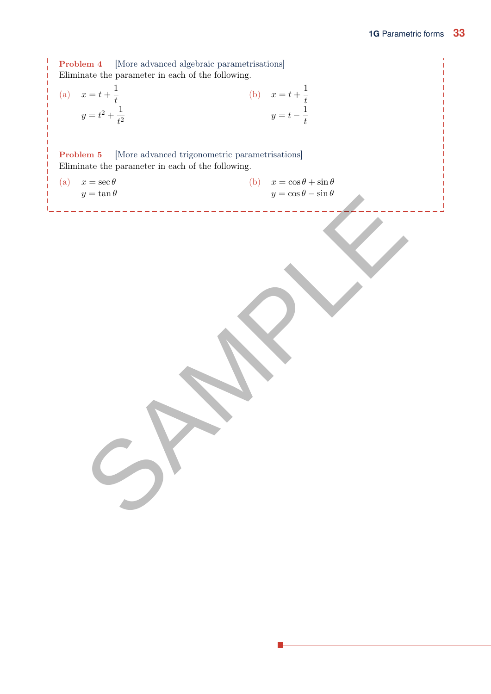Problem 4 [More advanced algebraic parametrisations] Eliminate the parameter in each of the following.  $x = t + \frac{1}{t}$ (a)  $x = t + \frac{1}{t}$  (b)  $x = t +$  $y = t^2 + \frac{1}{t^2}$  $t^2$ 1 t  $y = t - \frac{1}{t}$ t (b) Problem 5 [More advanced trigonometric parametrisations] Eliminate the parameter in each of the following.

<span id="page-10-0"></span>

| (a) | $x = \sec \theta$<br>$y=\tan\theta$ | (b) | $x = \cos \theta + \sin \theta$<br>$y=\cos\theta-\sin\theta$ |  |
|-----|-------------------------------------|-----|--------------------------------------------------------------|--|
|     |                                     |     |                                                              |  |
|     |                                     |     |                                                              |  |
|     |                                     |     |                                                              |  |
|     |                                     |     |                                                              |  |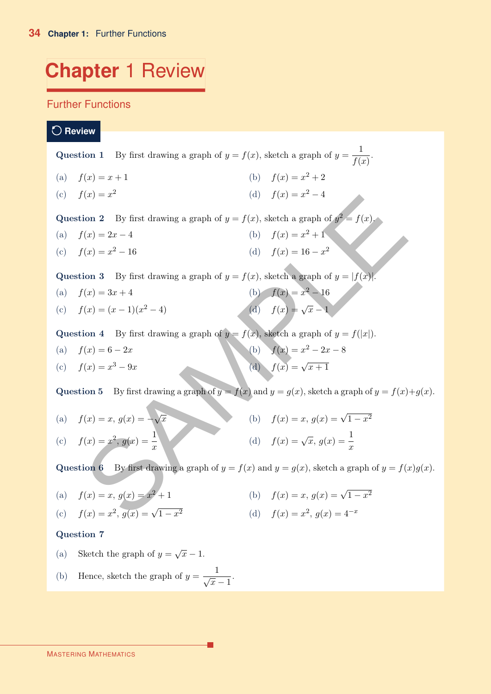# **Chapter** 1 Review

# Further Functions

**Review**

|                    | <b>Question 1</b> By first drawing a graph of $y = f(x)$ , sketch a graph of $y = \frac{1}{f(x)}$ . |                      |  |
|--------------------|-----------------------------------------------------------------------------------------------------|----------------------|--|
| (a) $f(x) = x + 1$ |                                                                                                     | (b) $f(x) = x^2 + 2$ |  |

 $f(x) = x^2$ (d)  $f(x) = x^2 - 4$ 

Question 2 By first drawing a graph of  $y = f(x)$ , sketch a graph of  $y^2 = f(x)$ .

- (a)  $f(x) = 2x 4$  (b)  $f(x) = x^2 + 1$
- (c)  $f(x) = x^2 16$ (d)  $f(x) = 16 - x^2$

**Question 3** By first drawing a graph of  $y = f(x)$ , sketch a graph of  $y = |f(x)|$ .

(a)  $f(x) = 3x + 4$  (b)  $f(x) = x^2 - 16$ (c)  $f(x) = (x - 1)(x<sup>2</sup> – 4)$ (d)  $f(x) = \sqrt{x} - 1$ 

Question 4 By first drawing a graph of  $y = f(x)$ , sketch a graph of  $y = f(|x|)$ .

(a) 
$$
f(x) = 6 - 2x
$$
  
\n(b)  $f(x) = x^2 - 2x - 8$   
\n(c)  $f(x) = x^3 - 9x$   
\n(d)  $f(x) = \sqrt{x+1}$ 

**Question 5** By first drawing a graph of  $y = f(x)$  and  $y = g(x)$ , sketch a graph of  $y = f(x)+g(x)$ .

| (c) | $f(x) = x^{-}$            | (d)                         | $f(x) = x^{-} - 4$    |                   |                             |
|-----|---------------------------|-----------------------------|-----------------------|-------------------|-----------------------------|
| (a) | $f(x) = 2x - 4$           | (b)                         | $f(x) = x^2 + 1$      |                   |                             |
| (c) | $f(x) = x^2 - 16$         | (d)                         | $f(x) = x^2 + 1$      |                   |                             |
| (e) | $f(x) = x^2 - 16$         | (f)                         | (g)                   | $f(x) = 16 - x^2$ |                             |
| (h) | $f(x) = 16 - x^2$         |                             |                       |                   |                             |
| (i) | $f(x) = 3x + 4$           | (j)                         | (k)                   | $f(x) = x^2 - 16$ |                             |
| (k) | $f(x) = x^2 - 16$         | (l)                         | $f(x) = x^2 - 16$     |                   |                             |
| (o) | $f(x) = (x - 1)(x^2 - 4)$ | (d)                         | $f(x) = \sqrt{x} - 1$ |                   |                             |
| (p) | (p)                       | $f(x) = \sqrt{x} - 1$       |                       |                   |                             |
| (p) | (p)                       | $f(x) = x^2 - 2x - 8$       |                       |                   |                             |
| (r) | (r)                       | $f(x) = x^3 - 9x$           | (r)                   | (r)               | $f(x) = x^2 - 2x - 8$       |
| (r) | (r)                       | $f(x) = \sqrt{x} + 1$       |                       |                   |                             |
| (r) | (r)                       | $f(x) = x, g(x) = \sqrt{x}$ | (r)                   | (r)               | $f(x) = x, g(x) = \sqrt{x}$ |
| (r  |                           |                             |                       |                   |                             |

Question 6 By first drawing a graph of  $y = f(x)$  and  $y = g(x)$ , sketch a graph of  $y = f(x)g(x)$ .

(a) 
$$
f(x) = x, g(x) = x^2 + 1
$$
   
 (b)  $f(x) = x, g(x) = \sqrt{1 - x^2}$ 

(c) 
$$
f(x) = x^2
$$
,  $g(x) = \sqrt{1 - x^2}$    
 (d)  $f(x) = x^2$ ,  $g(x) = 4^{-x}$ 

## Question 7

- (a) Sketch the graph of  $y = \sqrt{x} 1$ .
- (b) Hence, sketch the graph of  $y = \frac{1}{\sqrt{x} 1}$ .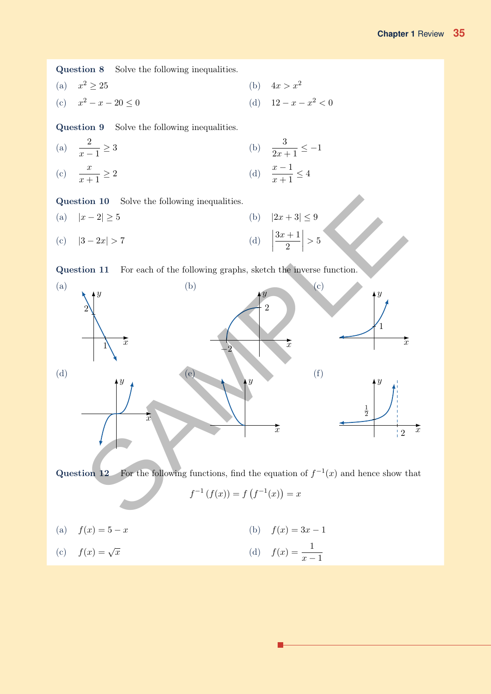Question 8 Solve the following inequalities.

$$
(a) \t x2 \ge 25 \t (b) \t 4x > x2
$$

(c)  $x^2 - x - 20 \leq 0$ 

Question 9 Solve the following inequalities.

(a) 
$$
\frac{2}{x-1} \ge 3
$$
   
\n(b)  $\frac{3}{2x+1} \le -$    
\n(c)  $\frac{x}{x+1} \ge 2$    
\n(d)  $\frac{x-1}{x+1} \le 4$ 

Question 10 Solve the following inequalities.

(a)  $|x - 2| \ge 5$  (b)  $|2x + 3| \le 9$ (c)  $|3 - 2x| > 7$  $\begin{array}{c} \begin{array}{c} \begin{array}{c} \end{array} \\ \begin{array}{c} \end{array} \end{array} \end{array}$  $3x + 1$ 2 (d)  $\left|\frac{3x+1}{2}\right|$ 



Question 12 For the following functions, find the equation of  $f^{-1}(x)$  and hence show that

$$
f^{-1}(f(x)) = f(f^{-1}(x)) = x
$$

(a)  $f(x) = 5 - x$  (b)  $f(x) = 3x - 1$  $f(x) = \sqrt{x}$ (c)  $f(x) = \sqrt{x}$  (d)  $f(x) = \frac{1}{x-1}$ 

(d) 
$$
12 - x - x^2 < 0
$$

(b) 
$$
\frac{3}{2x+1} \le -1
$$
  
(d)  $\frac{x-1}{x+1} \le 4$ 

 $> 5$ 

Question 11 For each of the following graphs, sketch the inverse function.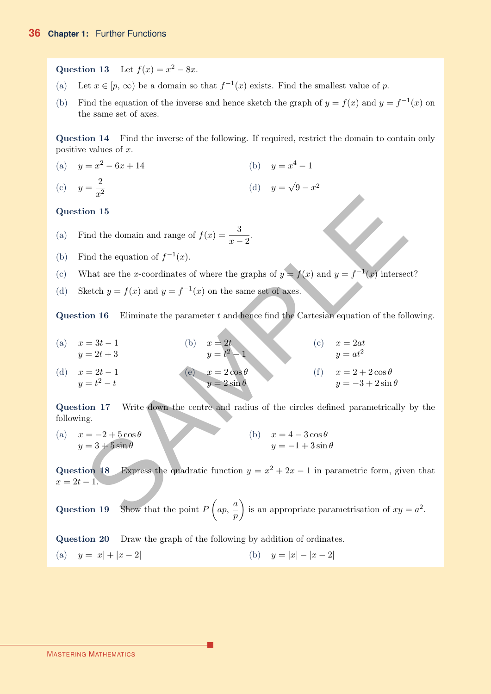Question 13 Let  $f(x) = x^2 - 8x$ .

- (a) Let  $x \in [p, \infty)$  be a domain so that  $f^{-1}(x)$  exists. Find the smallest value of p.
- (b) Find the equation of the inverse and hence sketch the graph of  $y = f(x)$  and  $y = f^{-1}(x)$  on the same set of axes.

Question 14 Find the inverse of the following. If required, restrict the domain to contain only positive values of  $x$ .

(a)  $y = x^2 - 6x + 14$  (b)  $y = x^4 - 1$  $y=\frac{2}{x}$ (c)  $y = \frac{z}{x^2}$  (d)  $y =$ √ (d)  $y = \sqrt{9-x^2}$ 

# Question 15

- (a) Find the domain and range of  $f(x) = \frac{3}{x-2}$ .
- (b) Find the equation of  $f^{-1}(x)$ .
- (c) What are the x-coordinates of where the graphs of  $y = f(x)$  and  $y = f^{-1}(x)$  intersect?
- (d) Sketch  $y = f(x)$  and  $y = f^{-1}(x)$  on the same set of axes.

Question  $16$  Eliminate the parameter t and hence find the Cartesian equation of the following.

(a)  $x = 3t - 1$  (b)  $x = 2t$  $y = 2t + 3$  $y=t$  $^{2}-1$ (b)  $x = 2t$  (c)  $x = 2at$  $y = at^2$ (c)  $x = 2t - 1$  $y=t^2-t$ (d)  $x = 2t - 1$  (e)  $x = 2\cos\theta$  $y=2\sin\theta$ (e)  $x = 2 \cos \theta$  (f)  $x = 2 + 2 \cos \theta$  $y = -3 + 2 \sin \theta$ Find the domain and range of  $f(x) = \frac{3}{x-2}$ .<br>
Find the equation of  $f^{-1}(x)$ .<br>
What are the *x*-coordinates of where the graphs of  $y = f(x)$  and  $y = f^{-1}(x)$  interses<br>
Sketch  $y = f(x)$  and  $y = f^{-1}(x)$  on the same set of axes.<br>
S

Question 17 Write down the centre and radius of the circles defined parametrically by the following.

(a)  $x = -2 + 5 \cos \theta$  (b)  $x = 4 - 3 \cos \theta$  $y = 3 + 5 \sin \theta$  $y = -1 + 3 \sin \theta$ (b)  $x = 4 - 3\cos\theta$ 

Question 18 Express the quadratic function  $y = x^2 + 2x - 1$  in parametric form, given that  $x = 2t - 1.$ 

Question 19 Show that the point  $P\left(ap, \frac{a}{a}\right)$ p is an appropriate parametrisation of  $xy = a^2$ .

<span id="page-13-0"></span>Question 20 Draw the graph of the following by addition of ordinates.

(a)  $y = |x| + |x - 2|$  (b)  $y = |x| - |x - 2|$